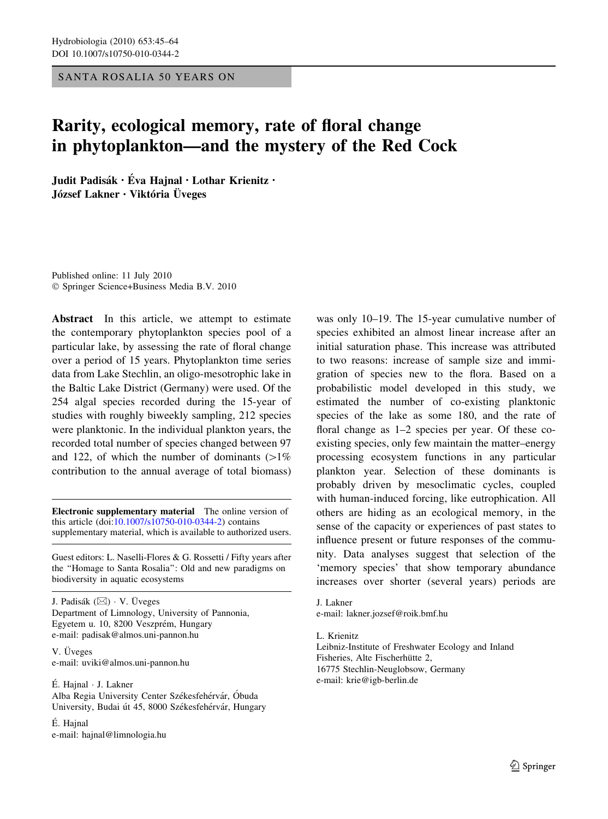SANTA ROSALIA 50 YEARS ON

# Rarity, ecological memory, rate of floral change in phytoplankton—and the mystery of the Red Cock

Judit Padisák • Éva Hajnal • Lothar Krienitz • József Lakner · Viktória Üveges

Published online: 11 July 2010 © Springer Science+Business Media B.V. 2010

Abstract In this article, we attempt to estimate the contemporary phytoplankton species pool of a particular lake, by assessing the rate of floral change over a period of 15 years. Phytoplankton time series data from Lake Stechlin, an oligo-mesotrophic lake in the Baltic Lake District (Germany) were used. Of the 254 algal species recorded during the 15-year of studies with roughly biweekly sampling, 212 species were planktonic. In the individual plankton years, the recorded total number of species changed between 97 and 122, of which the number of dominants  $(>1\%)$ contribution to the annual average of total biomass)

Electronic supplementary material The online version of this article  $(d\ddot{\text{o}i} \cdot 10.1007/s10750-010-0344-2)$  contains supplementary material, which is available to authorized users.

Guest editors: L. Naselli-Flores & G. Rossetti / Fifty years after the ''Homage to Santa Rosalia'': Old and new paradigms on biodiversity in aquatic ecosystems

J. Padisák (⊠) · V. Üveges Department of Limnology, University of Pannonia, Egyetem u. 10, 8200 Veszprém, Hungary e-mail: padisak@almos.uni-pannon.hu

V. Üveges e-mail: uviki@almos.uni-pannon.hu

É. Hajnal · J. Lakner Alba Regia University Center Székesfehérvár, Óbuda University, Budai út 45, 8000 Székesfehérvár, Hungary

E´. Hajnal e-mail: hajnal@limnologia.hu was only 10–19. The 15-year cumulative number of species exhibited an almost linear increase after an initial saturation phase. This increase was attributed to two reasons: increase of sample size and immigration of species new to the flora. Based on a probabilistic model developed in this study, we estimated the number of co-existing planktonic species of the lake as some 180, and the rate of floral change as  $1-2$  species per year. Of these coexisting species, only few maintain the matter–energy processing ecosystem functions in any particular plankton year. Selection of these dominants is probably driven by mesoclimatic cycles, coupled with human-induced forcing, like eutrophication. All others are hiding as an ecological memory, in the sense of the capacity or experiences of past states to influence present or future responses of the community. Data analyses suggest that selection of the 'memory species' that show temporary abundance increases over shorter (several years) periods are

J. Lakner e-mail: lakner.jozsef@roik.bmf.hu

L. Krienitz Leibniz-Institute of Freshwater Ecology and Inland Fisheries, Alte Fischerhütte 2, 16775 Stechlin-Neuglobsow, Germany e-mail: krie@igb-berlin.de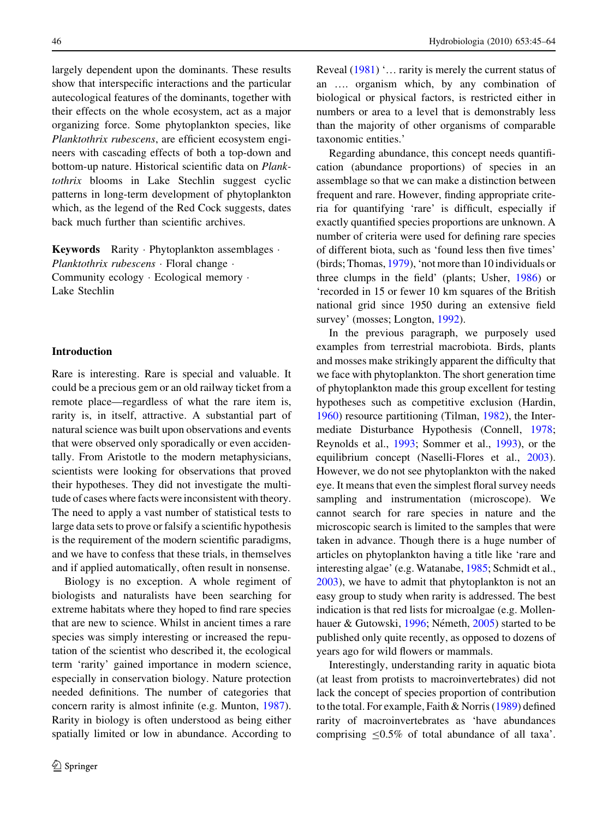largely dependent upon the dominants. These results show that interspecific interactions and the particular autecological features of the dominants, together with their effects on the whole ecosystem, act as a major organizing force. Some phytoplankton species, like Planktothrix rubescens, are efficient ecosystem engineers with cascading effects of both a top-down and bottom-up nature. Historical scientific data on Planktothrix blooms in Lake Stechlin suggest cyclic patterns in long-term development of phytoplankton which, as the legend of the Red Cock suggests, dates back much further than scientific archives.

Keywords Rarity · Phytoplankton assemblages · Planktothrix rubescens · Floral change · Community ecology - Ecological memory - Lake Stechlin

#### Introduction

Rare is interesting. Rare is special and valuable. It could be a precious gem or an old railway ticket from a remote place—regardless of what the rare item is, rarity is, in itself, attractive. A substantial part of natural science was built upon observations and events that were observed only sporadically or even accidentally. From Aristotle to the modern metaphysicians, scientists were looking for observations that proved their hypotheses. They did not investigate the multitude of cases where facts were inconsistent with theory. The need to apply a vast number of statistical tests to large data sets to prove or falsify a scientific hypothesis is the requirement of the modern scientific paradigms, and we have to confess that these trials, in themselves and if applied automatically, often result in nonsense.

Biology is no exception. A whole regiment of biologists and naturalists have been searching for extreme habitats where they hoped to find rare species that are new to science. Whilst in ancient times a rare species was simply interesting or increased the reputation of the scientist who described it, the ecological term 'rarity' gained importance in modern science, especially in conservation biology. Nature protection needed definitions. The number of categories that concern rarity is almost infinite (e.g. Munton, [1987](#page-18-0)). Rarity in biology is often understood as being either spatially limited or low in abundance. According to Reveal [\(1981](#page-19-0)) '… rarity is merely the current status of an …. organism which, by any combination of biological or physical factors, is restricted either in numbers or area to a level that is demonstrably less than the majority of other organisms of comparable taxonomic entities.'

Regarding abundance, this concept needs quantification (abundance proportions) of species in an assemblage so that we can make a distinction between frequent and rare. However, finding appropriate criteria for quantifying 'rare' is difficult, especially if exactly quantified species proportions are unknown. A number of criteria were used for defining rare species of different biota, such as 'found less then five times' (birds; Thomas, [1979\)](#page-19-0), 'not more than 10 individuals or three clumps in the field' (plants; Usher, [1986\)](#page-19-0) or 'recorded in 15 or fewer 10 km squares of the British national grid since 1950 during an extensive field survey' (mosses; Longton, [1992\)](#page-18-0).

In the previous paragraph, we purposely used examples from terrestrial macrobiota. Birds, plants and mosses make strikingly apparent the difficulty that we face with phytoplankton. The short generation time of phytoplankton made this group excellent for testing hypotheses such as competitive exclusion (Hardin, [1960\)](#page-18-0) resource partitioning (Tilman, [1982\)](#page-19-0), the Intermediate Disturbance Hypothesis (Connell, [1978](#page-17-0); Reynolds et al., [1993](#page-19-0); Sommer et al., [1993](#page-19-0)), or the equilibrium concept (Naselli-Flores et al., [2003](#page-18-0)). However, we do not see phytoplankton with the naked eye. It means that even the simplest floral survey needs sampling and instrumentation (microscope). We cannot search for rare species in nature and the microscopic search is limited to the samples that were taken in advance. Though there is a huge number of articles on phytoplankton having a title like 'rare and interesting algae' (e.g. Watanabe, [1985](#page-19-0); Schmidt et al., [2003\)](#page-19-0), we have to admit that phytoplankton is not an easy group to study when rarity is addressed. The best indication is that red lists for microalgae (e.g. Mollen-hauer & Gutowski, [1996;](#page-18-0) Németh, [2005\)](#page-18-0) started to be published only quite recently, as opposed to dozens of years ago for wild flowers or mammals.

Interestingly, understanding rarity in aquatic biota (at least from protists to macroinvertebrates) did not lack the concept of species proportion of contribution to the total. For example, Faith & Norris ([1989\)](#page-17-0) defined rarity of macroinvertebrates as 'have abundances comprising  $\leq 0.5\%$  of total abundance of all taxa'.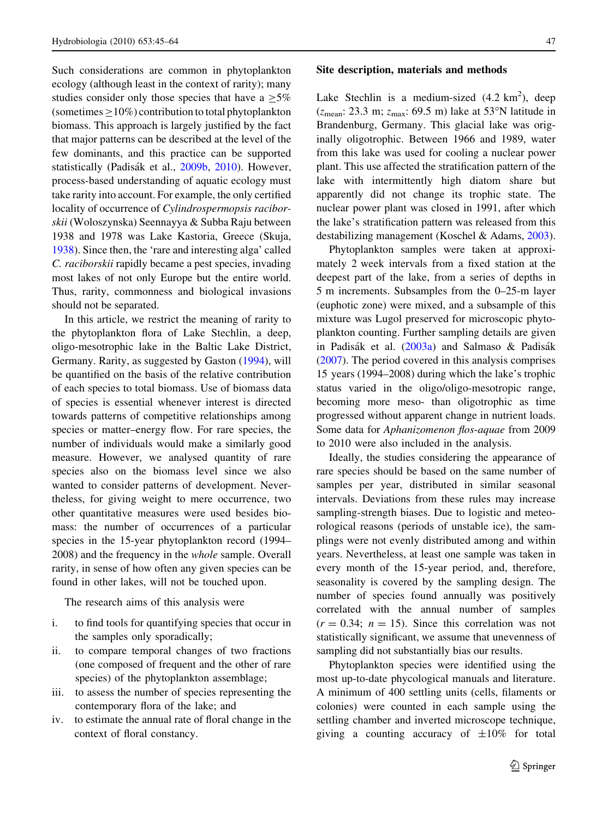Such considerations are common in phytoplankton ecology (although least in the context of rarity); many studies consider only those species that have a  $\geq 5\%$ (sometimes  $\geq 10\%$ ) contribution to total phytoplankton biomass. This approach is largely justified by the fact that major patterns can be described at the level of the few dominants, and this practice can be supported statistically (Padisák et al., [2009b](#page-18-0), [2010](#page-18-0)). However, process-based understanding of aquatic ecology must take rarity into account. For example, the only certified locality of occurrence of Cylindrospermopsis raciborskii (Woloszynska) Seennayya & Subba Raju between 1938 and 1978 was Lake Kastoria, Greece (Skuja, [1938\)](#page-19-0). Since then, the 'rare and interesting alga' called C. raciborskii rapidly became a pest species, invading most lakes of not only Europe but the entire world. Thus, rarity, commonness and biological invasions should not be separated.

In this article, we restrict the meaning of rarity to the phytoplankton flora of Lake Stechlin, a deep, oligo-mesotrophic lake in the Baltic Lake District, Germany. Rarity, as suggested by Gaston [\(1994](#page-17-0)), will be quantified on the basis of the relative contribution of each species to total biomass. Use of biomass data of species is essential whenever interest is directed towards patterns of competitive relationships among species or matter–energy flow. For rare species, the number of individuals would make a similarly good measure. However, we analysed quantity of rare species also on the biomass level since we also wanted to consider patterns of development. Nevertheless, for giving weight to mere occurrence, two other quantitative measures were used besides biomass: the number of occurrences of a particular species in the 15-year phytoplankton record (1994– 2008) and the frequency in the whole sample. Overall rarity, in sense of how often any given species can be found in other lakes, will not be touched upon.

The research aims of this analysis were

- i. to find tools for quantifying species that occur in the samples only sporadically;
- ii. to compare temporal changes of two fractions (one composed of frequent and the other of rare species) of the phytoplankton assemblage;
- iii. to assess the number of species representing the contemporary flora of the lake; and
- iv. to estimate the annual rate of floral change in the context of floral constancy.

#### Site description, materials and methods

Lake Stechlin is a medium-sized  $(4.2 \text{ km}^2)$ , deep ( $z_{\text{mean}}$ : 23.3 m;  $z_{\text{max}}$ : 69.5 m) lake at 53°N latitude in Brandenburg, Germany. This glacial lake was originally oligotrophic. Between 1966 and 1989, water from this lake was used for cooling a nuclear power plant. This use affected the stratification pattern of the lake with intermittently high diatom share but apparently did not change its trophic state. The nuclear power plant was closed in 1991, after which the lake's stratification pattern was released from this destabilizing management (Koschel & Adams, [2003](#page-18-0)).

Phytoplankton samples were taken at approximately 2 week intervals from a fixed station at the deepest part of the lake, from a series of depths in 5 m increments. Subsamples from the 0–25-m layer (euphotic zone) were mixed, and a subsample of this mixture was Lugol preserved for microscopic phytoplankton counting. Further sampling details are given in Padisák et al. ([2003a](#page-18-0)) and Salmaso & Padisák [\(2007](#page-19-0)). The period covered in this analysis comprises 15 years (1994–2008) during which the lake's trophic status varied in the oligo/oligo-mesotropic range, becoming more meso- than oligotrophic as time progressed without apparent change in nutrient loads. Some data for Aphanizomenon flos-aquae from 2009 to 2010 were also included in the analysis.

Ideally, the studies considering the appearance of rare species should be based on the same number of samples per year, distributed in similar seasonal intervals. Deviations from these rules may increase sampling-strength biases. Due to logistic and meteorological reasons (periods of unstable ice), the samplings were not evenly distributed among and within years. Nevertheless, at least one sample was taken in every month of the 15-year period, and, therefore, seasonality is covered by the sampling design. The number of species found annually was positively correlated with the annual number of samples  $(r = 0.34; n = 15)$ . Since this correlation was not statistically significant, we assume that unevenness of sampling did not substantially bias our results.

Phytoplankton species were identified using the most up-to-date phycological manuals and literature. A minimum of 400 settling units (cells, filaments or colonies) were counted in each sample using the settling chamber and inverted microscope technique, giving a counting accuracy of  $\pm 10\%$  for total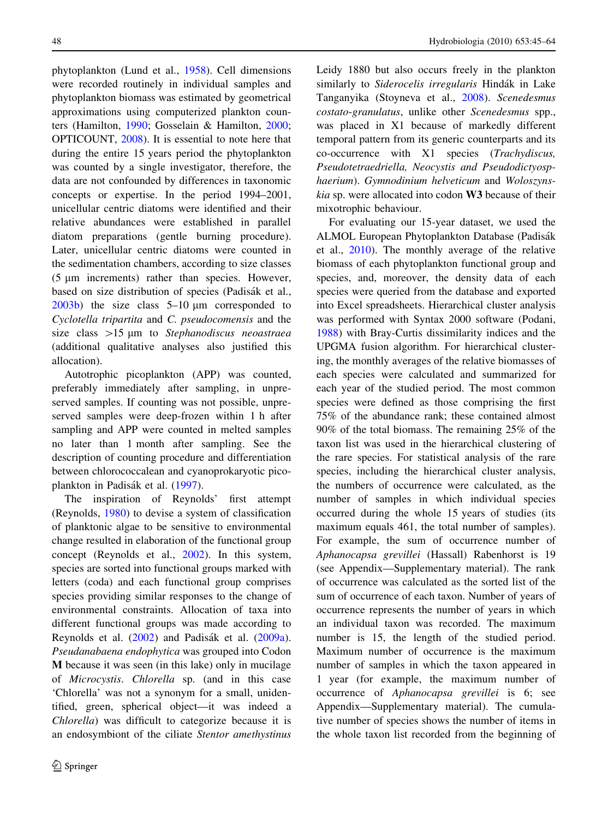phytoplankton (Lund et al., [1958\)](#page-18-0). Cell dimensions were recorded routinely in individual samples and phytoplankton biomass was estimated by geometrical approximations using computerized plankton counters (Hamilton, [1990;](#page-18-0) Gosselain & Hamilton, [2000](#page-18-0); OPTICOUNT, [2008\)](#page-18-0). It is essential to note here that during the entire 15 years period the phytoplankton was counted by a single investigator, therefore, the data are not confounded by differences in taxonomic concepts or expertise. In the period 1994–2001, unicellular centric diatoms were identified and their relative abundances were established in parallel diatom preparations (gentle burning procedure). Later, unicellular centric diatoms were counted in the sedimentation chambers, according to size classes  $(5 \mu m)$  increments) rather than species. However, based on size distribution of species (Padisák et al.,  $2003b$ ) the size class  $5-10 \mu m$  corresponded to Cyclotella tripartita and C. pseudocomensis and the size class  $>15 \mu m$  to Stephanodiscus neoastraea (additional qualitative analyses also justified this allocation).

Autotrophic picoplankton (APP) was counted, preferably immediately after sampling, in unpreserved samples. If counting was not possible, unpreserved samples were deep-frozen within 1 h after sampling and APP were counted in melted samples no later than 1 month after sampling. See the description of counting procedure and differentiation between chlorococcalean and cyanoprokaryotic pico-plankton in Padisák et al. ([1997\)](#page-18-0).

The inspiration of Reynolds' first attempt (Reynolds, [1980](#page-19-0)) to devise a system of classification of planktonic algae to be sensitive to environmental change resulted in elaboration of the functional group concept (Reynolds et al., [2002](#page-19-0)). In this system, species are sorted into functional groups marked with letters (coda) and each functional group comprises species providing similar responses to the change of environmental constraints. Allocation of taxa into different functional groups was made according to Reynolds et al.  $(2002)$  $(2002)$  and Padisák et al.  $(2009a)$  $(2009a)$  $(2009a)$ . Pseudanabaena endophytica was grouped into Codon M because it was seen (in this lake) only in mucilage of Microcystis. Chlorella sp. (and in this case 'Chlorella' was not a synonym for a small, unidentified, green, spherical object—it was indeed a Chlorella) was difficult to categorize because it is an endosymbiont of the ciliate Stentor amethystinus

Leidy 1880 but also occurs freely in the plankton similarly to Siderocelis irregularis Hindák in Lake Tanganyika (Stoyneva et al., [2008\)](#page-19-0). Scenedesmus costato-granulatus, unlike other Scenedesmus spp., was placed in X1 because of markedly different temporal pattern from its generic counterparts and its co-occurrence with X1 species (Trachydiscus, Pseudotetraedriella, Neocystis and Pseudodictyosphaerium). Gymnodinium helveticum and Woloszynskia sp. were allocated into codon W3 because of their mixotrophic behaviour.

For evaluating our 15-year dataset, we used the ALMOL European Phytoplankton Database (Padisa´k et al., [2010](#page-18-0)). The monthly average of the relative biomass of each phytoplankton functional group and species, and, moreover, the density data of each species were queried from the database and exported into Excel spreadsheets. Hierarchical cluster analysis was performed with Syntax 2000 software (Podani, [1988\)](#page-18-0) with Bray-Curtis dissimilarity indices and the UPGMA fusion algorithm. For hierarchical clustering, the monthly averages of the relative biomasses of each species were calculated and summarized for each year of the studied period. The most common species were defined as those comprising the first 75% of the abundance rank; these contained almost 90% of the total biomass. The remaining 25% of the taxon list was used in the hierarchical clustering of the rare species. For statistical analysis of the rare species, including the hierarchical cluster analysis, the numbers of occurrence were calculated, as the number of samples in which individual species occurred during the whole 15 years of studies (its maximum equals 461, the total number of samples). For example, the sum of occurrence number of Aphanocapsa grevillei (Hassall) Rabenhorst is 19 (see Appendix—Supplementary material). The rank of occurrence was calculated as the sorted list of the sum of occurrence of each taxon. Number of years of occurrence represents the number of years in which an individual taxon was recorded. The maximum number is 15, the length of the studied period. Maximum number of occurrence is the maximum number of samples in which the taxon appeared in 1 year (for example, the maximum number of occurrence of Aphanocapsa grevillei is 6; see Appendix—Supplementary material). The cumulative number of species shows the number of items in the whole taxon list recorded from the beginning of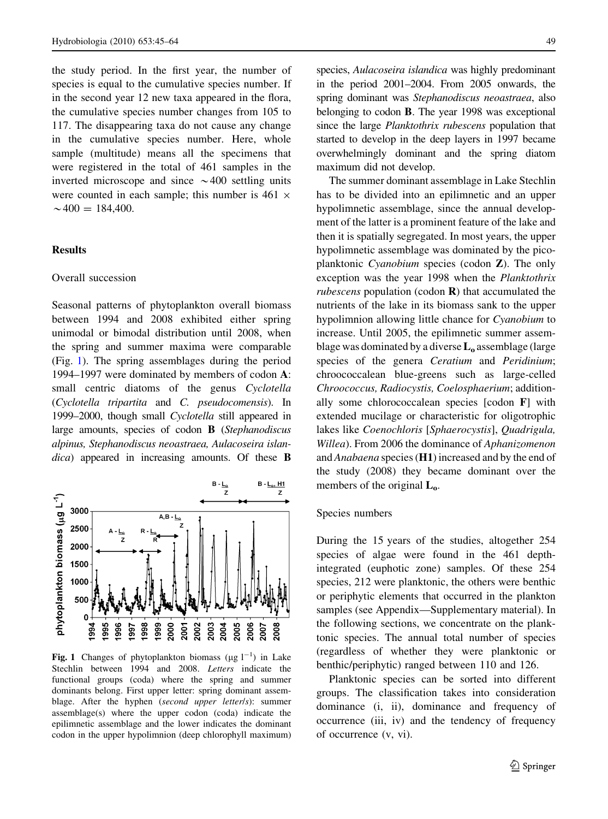the study period. In the first year, the number of species is equal to the cumulative species number. If in the second year 12 new taxa appeared in the flora, the cumulative species number changes from 105 to 117. The disappearing taxa do not cause any change in the cumulative species number. Here, whole sample (multitude) means all the specimens that were registered in the total of 461 samples in the inverted microscope and since  $\sim$  400 settling units were counted in each sample; this number is  $461 \times$  $\sim$  400 = 184,400.

# Results

#### Overall succession

Seasonal patterns of phytoplankton overall biomass between 1994 and 2008 exhibited either spring unimodal or bimodal distribution until 2008, when the spring and summer maxima were comparable (Fig. 1). The spring assemblages during the period 1994–1997 were dominated by members of codon A: small centric diatoms of the genus Cyclotella (Cyclotella tripartita and C. pseudocomensis). In 1999–2000, though small Cyclotella still appeared in large amounts, species of codon B (Stephanodiscus alpinus, Stephanodiscus neoastraea, Aulacoseira islandica) appeared in increasing amounts. Of these B



Fig. 1 Changes of phytoplankton biomass ( $\mu$ g l<sup>-1</sup>) in Lake Stechlin between 1994 and 2008. Letters indicate the functional groups (coda) where the spring and summer dominants belong. First upper letter: spring dominant assemblage. After the hyphen (second upper letter/s): summer assemblage(s) where the upper codon (coda) indicate the epilimnetic assemblage and the lower indicates the dominant codon in the upper hypolimnion (deep chlorophyll maximum)

species, Aulacoseira islandica was highly predominant in the period 2001–2004. From 2005 onwards, the spring dominant was Stephanodiscus neoastraea, also belonging to codon B. The year 1998 was exceptional since the large Planktothrix rubescens population that started to develop in the deep layers in 1997 became overwhelmingly dominant and the spring diatom maximum did not develop.

The summer dominant assemblage in Lake Stechlin has to be divided into an epilimnetic and an upper hypolimnetic assemblage, since the annual development of the latter is a prominent feature of the lake and then it is spatially segregated. In most years, the upper hypolimnetic assemblage was dominated by the picoplanktonic Cyanobium species (codon Z). The only exception was the year 1998 when the Planktothrix *rubescens* population (codon  $\bf{R}$ ) that accumulated the nutrients of the lake in its biomass sank to the upper hypolimnion allowing little chance for Cyanobium to increase. Until 2005, the epilimnetic summer assemblage was dominated by a diverse  $L_0$  assemblage (large species of the genera Ceratium and Peridinium; chroococcalean blue-greens such as large-celled Chroococcus, Radiocystis, Coelosphaerium; additionally some chlorococcalean species [codon F] with extended mucilage or characteristic for oligotrophic lakes like Coenochloris [Sphaerocystis], Quadrigula, Willea). From 2006 the dominance of Aphanizomenon and Anabaena species (H1) increased and by the end of the study (2008) they became dominant over the members of the original  $L_0$ .

#### Species numbers

During the 15 years of the studies, altogether 254 species of algae were found in the 461 depthintegrated (euphotic zone) samples. Of these 254 species, 212 were planktonic, the others were benthic or periphytic elements that occurred in the plankton samples (see Appendix—Supplementary material). In the following sections, we concentrate on the planktonic species. The annual total number of species (regardless of whether they were planktonic or benthic/periphytic) ranged between 110 and 126.

Planktonic species can be sorted into different groups. The classification takes into consideration dominance (i, ii), dominance and frequency of occurrence (iii, iv) and the tendency of frequency of occurrence (v, vi).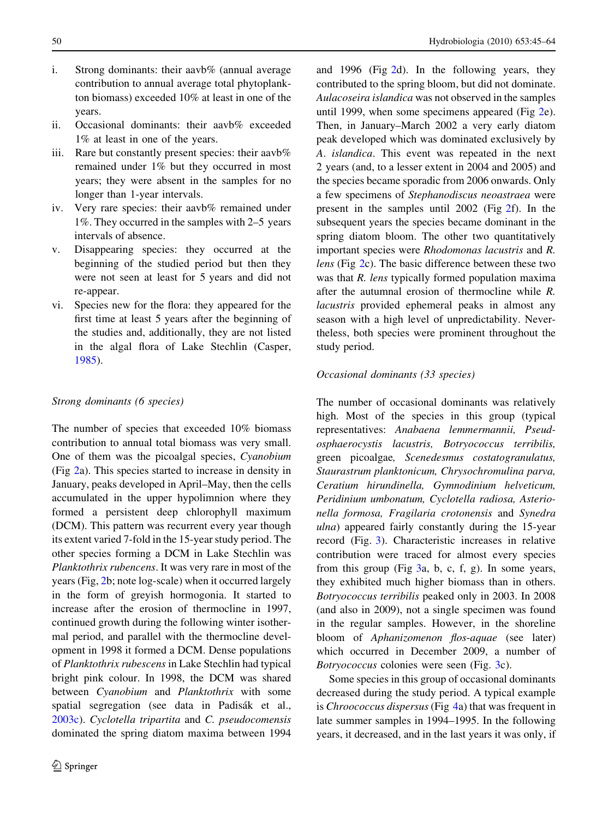- i. Strong dominants: their aavb% (annual average contribution to annual average total phytoplankton biomass) exceeded 10% at least in one of the years.
- ii. Occasional dominants: their aavb% exceeded 1% at least in one of the years.
- iii. Rare but constantly present species: their aavb% remained under 1% but they occurred in most years; they were absent in the samples for no longer than 1-year intervals.
- iv. Very rare species: their aavb% remained under 1%. They occurred in the samples with 2–5 years intervals of absence.
- v. Disappearing species: they occurred at the beginning of the studied period but then they were not seen at least for 5 years and did not re-appear.
- vi. Species new for the flora: they appeared for the first time at least 5 years after the beginning of the studies and, additionally, they are not listed in the algal flora of Lake Stechlin (Casper, [1985](#page-17-0)).

## Strong dominants (6 species)

The number of species that exceeded 10% biomass contribution to annual total biomass was very small. One of them was the picoalgal species, Cyanobium (Fig [2a](#page-6-0)). This species started to increase in density in January, peaks developed in April–May, then the cells accumulated in the upper hypolimnion where they formed a persistent deep chlorophyll maximum (DCM). This pattern was recurrent every year though its extent varied 7-fold in the 15-year study period. The other species forming a DCM in Lake Stechlin was Planktothrix rubencens. It was very rare in most of the years (Fig, [2b](#page-6-0); note log-scale) when it occurred largely in the form of greyish hormogonia. It started to increase after the erosion of thermocline in 1997, continued growth during the following winter isothermal period, and parallel with the thermocline development in 1998 it formed a DCM. Dense populations of Planktothrix rubescens in Lake Stechlin had typical bright pink colour. In 1998, the DCM was shared between Cyanobium and Planktothrix with some spatial segregation (see data in Padisák et al., [2003c](#page-18-0)). Cyclotella tripartita and C. pseudocomensis dominated the spring diatom maxima between 1994

and 1996 (Fig [2](#page-6-0)d). In the following years, they contributed to the spring bloom, but did not dominate. Aulacoseira islandica was not observed in the samples until 1999, when some specimens appeared (Fig [2e](#page-6-0)). Then, in January–March 2002 a very early diatom peak developed which was dominated exclusively by A. islandica. This event was repeated in the next 2 years (and, to a lesser extent in 2004 and 2005) and the species became sporadic from 2006 onwards. Only a few specimens of Stephanodiscus neoastraea were present in the samples until 2002 (Fig [2](#page-6-0)f). In the subsequent years the species became dominant in the spring diatom bloom. The other two quantitatively important species were Rhodomonas lacustris and R. lens (Fig [2c](#page-6-0)). The basic difference between these two was that R. lens typically formed population maxima after the autumnal erosion of thermocline while R. lacustris provided ephemeral peaks in almost any season with a high level of unpredictability. Nevertheless, both species were prominent throughout the study period.

# Occasional dominants (33 species)

The number of occasional dominants was relatively high. Most of the species in this group (typical representatives: Anabaena lemmermannii, Pseudosphaerocystis lacustris, Botryococcus terribilis, green picoalgae, Scenedesmus costatogranulatus, Staurastrum planktonicum, Chrysochromulina parva, Ceratium hirundinella, Gymnodinium helveticum, Peridinium umbonatum, Cyclotella radiosa, Asterionella formosa, Fragilaria crotonensis and Synedra ulna) appeared fairly constantly during the 15-year record (Fig. [3](#page-7-0)). Characteristic increases in relative contribution were traced for almost every species from this group (Fig  $3a$ , b, c, f, g). In some years, they exhibited much higher biomass than in others. Botryococcus terribilis peaked only in 2003. In 2008 (and also in 2009), not a single specimen was found in the regular samples. However, in the shoreline bloom of Aphanizomenon flos-aquae (see later) which occurred in December 2009, a number of Botryococcus colonies were seen (Fig. [3c](#page-7-0)).

Some species in this group of occasional dominants decreased during the study period. A typical example is Chroococcus dispersus (Fig [4a](#page-8-0)) that was frequent in late summer samples in 1994–1995. In the following years, it decreased, and in the last years it was only, if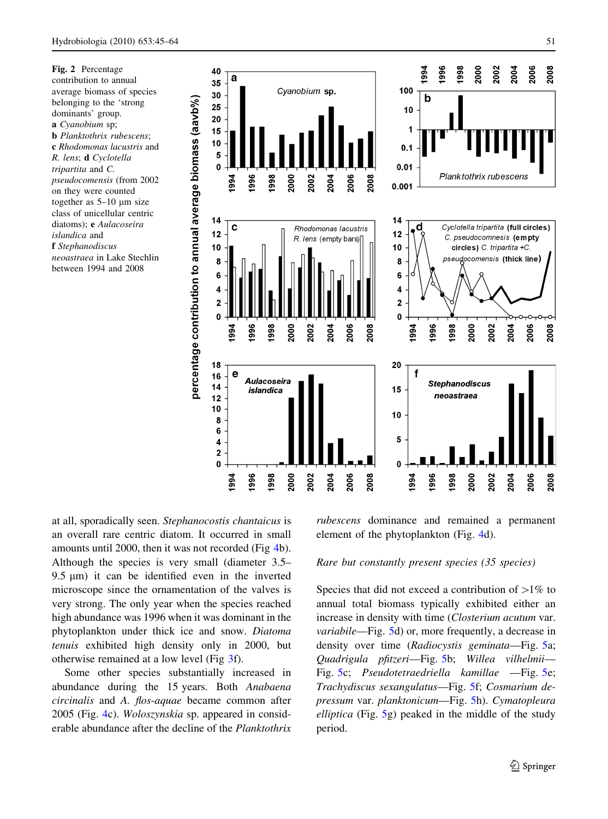<span id="page-6-0"></span>Fig. 2 Percentage contribution to annual average biomass of species belonging to the 'strong dominants' group. a Cyanobium sp; **b** Planktothrix rubescens; c Rhodomonas lacustris and R. lens; d Cyclotella tripartita and C. pseudocomensis (from 2002 on they were counted together as  $5-10 \mu m$  size class of unicellular centric diatoms); e Aulacoseira islandica and f Stephanodiscus neoastraea in Lake Stechlin between 1994 and 2008



at all, sporadically seen. Stephanocostis chantaicus is an overall rare centric diatom. It occurred in small amounts until 2000, then it was not recorded (Fig [4](#page-8-0)b). Although the species is very small (diameter 3.5– 9.5  $\mu$ m) it can be identified even in the inverted microscope since the ornamentation of the valves is very strong. The only year when the species reached high abundance was 1996 when it was dominant in the phytoplankton under thick ice and snow. Diatoma tenuis exhibited high density only in 2000, but otherwise remained at a low level (Fig [3](#page-7-0)f).

Some other species substantially increased in abundance during the 15 years. Both Anabaena circinalis and A. flos-aquae became common after 2005 (Fig. [4](#page-8-0)c). Woloszynskia sp. appeared in considerable abundance after the decline of the Planktothrix rubescens dominance and remained a permanent element of the phytoplankton (Fig. [4d](#page-8-0)).

#### Rare but constantly present species (35 species)

Species that did not exceed a contribution of  $>1\%$  to annual total biomass typically exhibited either an increase in density with time (Closterium acutum var. variabile—Fig. [5](#page-9-0)d) or, more frequently, a decrease in density over time (Radiocystis geminata—Fig. [5](#page-9-0)a; Quadrigula pfitzeri—Fig. [5b](#page-9-0); Willea vilhelmii— Fig. [5c](#page-9-0); Pseudotetraedriella kamillae —Fig. [5](#page-9-0)e; Trachydiscus sexangulatus—Fig. [5f](#page-9-0); Cosmarium depressum var. planktonicum—Fig. [5h](#page-9-0)). Cymatopleura elliptica (Fig. [5g](#page-9-0)) peaked in the middle of the study period.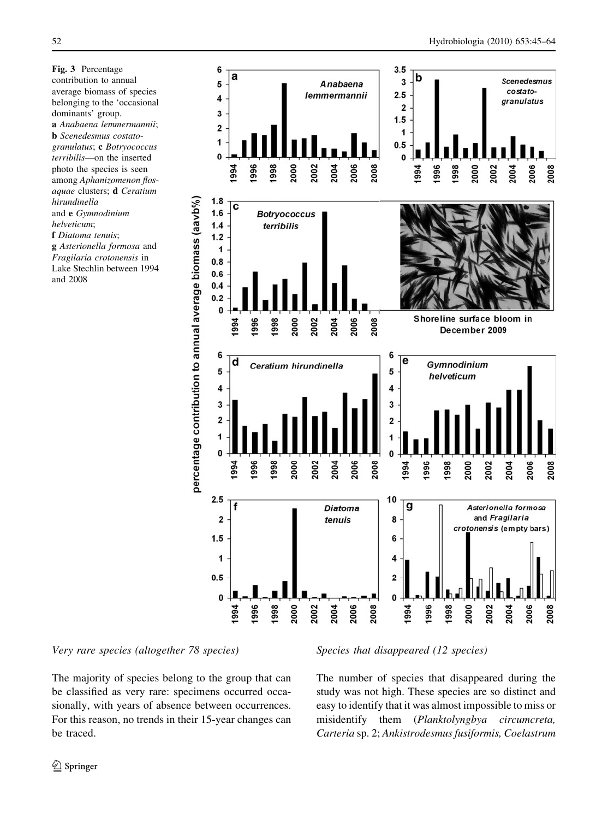<span id="page-7-0"></span>Fig. 3 Percentage contribution to annual average biomass of species belonging to the 'occasional dominants' group. a Anabaena lemmermannii; b Scenedesmus costatogranulatus; c Botryococcus terribilis—on the inserted photo the species is seen among Aphanizomenon flosaquae clusters; d Ceratium hirundinella and e Gymnodinium helveticum; f Diatoma tenuis: g Asterionella formosa and Fragilaria crotonensis in Lake Stechlin between 1994 and 2008



Very rare species (altogether 78 species)

The majority of species belong to the group that can be classified as very rare: specimens occurred occasionally, with years of absence between occurrences. For this reason, no trends in their 15-year changes can be traced.

# Species that disappeared (12 species)

The number of species that disappeared during the study was not high. These species are so distinct and easy to identify that it was almost impossible to miss or misidentify them (Planktolyngbya circumcreta, Carteria sp. 2; Ankistrodesmus fusiformis, Coelastrum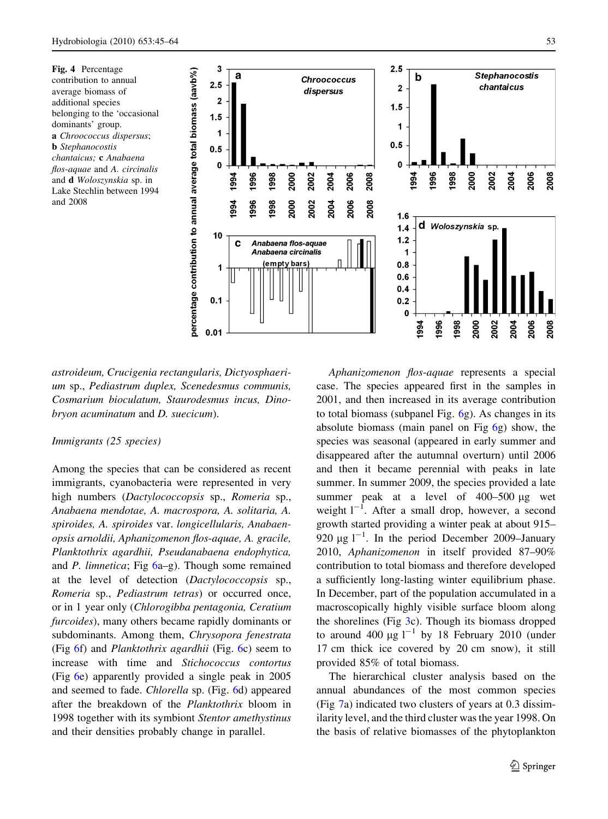<span id="page-8-0"></span>Fig. 4 Percentage contribution to annual average biomass of additional species belonging to the 'occasional dominants' group. a Chroococcus dispersus; **b** Stephanocostis chantaicus; c Anabaena flos-aquae and A. circinalis and d Woloszynskia sp. in Lake Stechlin between 1994 and 2008



astroideum, Crucigenia rectangularis, Dictyosphaerium sp., Pediastrum duplex, Scenedesmus communis, Cosmarium bioculatum, Staurodesmus incus, Dinobryon acuminatum and D. suecicum).

#### Immigrants (25 species)

Among the species that can be considered as recent immigrants, cyanobacteria were represented in very high numbers (Dactylococcopsis sp., Romeria sp., Anabaena mendotae, A. macrospora, A. solitaria, A. spiroides, A. spiroides var. longicellularis, Anabaenopsis arnoldii, Aphanizomenon flos-aquae, A. gracile, Planktothrix agardhii, Pseudanabaena endophytica, and *P. limnetica*; Fig  $6a-g$  $6a-g$ ). Though some remained at the level of detection (Dactylococcopsis sp., Romeria sp., Pediastrum tetras) or occurred once, or in 1 year only (Chlorogibba pentagonia, Ceratium furcoides), many others became rapidly dominants or subdominants. Among them, Chrysopora fenestrata (Fig [6f](#page-10-0)) and Planktothrix agardhii (Fig. [6c](#page-10-0)) seem to increase with time and Stichococcus contortus (Fig [6e](#page-10-0)) apparently provided a single peak in 2005 and seemed to fade. Chlorella sp. (Fig. [6d](#page-10-0)) appeared after the breakdown of the Planktothrix bloom in 1998 together with its symbiont Stentor amethystinus and their densities probably change in parallel.

Aphanizomenon flos-aquae represents a special case. The species appeared first in the samples in 2001, and then increased in its average contribution to total biomass (subpanel Fig. [6g](#page-10-0)). As changes in its absolute biomass (main panel on Fig [6](#page-10-0)g) show, the species was seasonal (appeared in early summer and disappeared after the autumnal overturn) until 2006 and then it became perennial with peaks in late summer. In summer 2009, the species provided a late summer peak at a level of 400–500 µg wet weight  $1^{-1}$ . After a small drop, however, a second growth started providing a winter peak at about 915– 920  $\mu$ g l<sup>-1</sup>. In the period December 2009–January 2010, Aphanizomenon in itself provided 87–90% contribution to total biomass and therefore developed a sufficiently long-lasting winter equilibrium phase. In December, part of the population accumulated in a macroscopically highly visible surface bloom along the shorelines (Fig  $3c$ ). Though its biomass dropped to around 400  $\mu$ g l<sup>-1</sup> by 18 February 2010 (under 17 cm thick ice covered by 20 cm snow), it still provided 85% of total biomass.

The hierarchical cluster analysis based on the annual abundances of the most common species (Fig [7a](#page-11-0)) indicated two clusters of years at 0.3 dissimilarity level, and the third cluster was the year 1998. On the basis of relative biomasses of the phytoplankton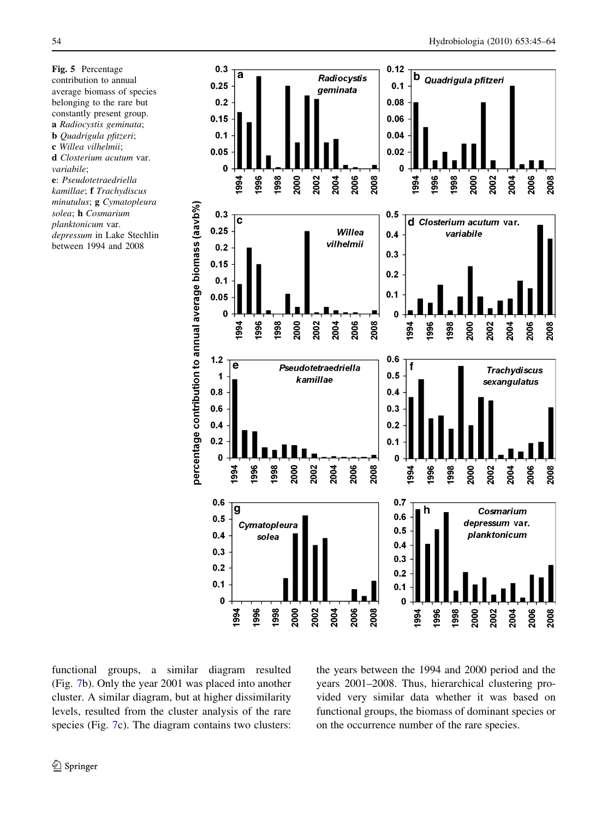<span id="page-9-0"></span>Fig. 5 Percentage contribution to annual average biomass of species belonging to the rare but constantly present group. a Radiocystis geminata; b Quadrigula pfitzeri; c Willea vilhelmii; d Closterium acutum var. variabile; e: Pseudotetraedriella kamillae; f Trachydiscus minutulus; g Cymatopleura solea; h Cosmarium planktonicum var. depressum in Lake Stechlin between 1994 and 2008



functional groups, a similar diagram resulted (Fig. [7](#page-11-0)b). Only the year 2001 was placed into another cluster. A similar diagram, but at higher dissimilarity levels, resulted from the cluster analysis of the rare species (Fig. [7](#page-11-0)c). The diagram contains two clusters: the years between the 1994 and 2000 period and the years 2001–2008. Thus, hierarchical clustering provided very similar data whether it was based on functional groups, the biomass of dominant species or on the occurrence number of the rare species.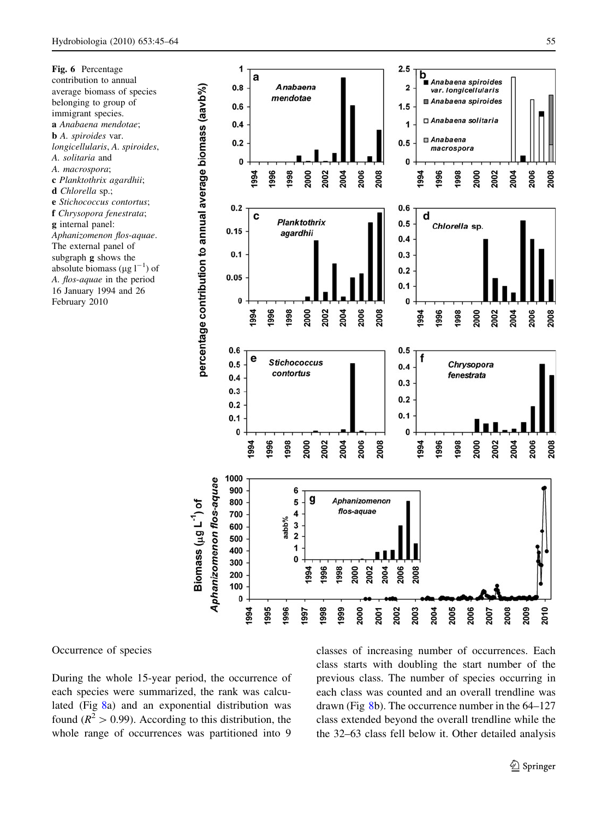1

 $0.8$ 

 $0.6$ 

 $0.4$ 

 $0.2$ 

 $\mathbf{0}$ 

a

Anabaena

mendotae

<span id="page-10-0"></span>Fig. 6 Percentage contribution to annual average biomass of species belonging to group of immigrant species. a Anabaena mendotae;



 $2.5$ 

 $1.5$ 

1

 $0.5$ 

 $\bf{0}$ 

 $\overline{\mathbf{2}}$ 



**b** A. spiroides var. longicellularis, A. spiroides, A. solitaria and A. macrospora; c Planktothrix agardhii; d Chlorella sp.; e Stichococcus contortus; f Chrysopora fenestrata; g internal panel: Aphanizomenon flos-aquae. The external panel of subgraph g shows the absolute biomass ( $\mu$ g l<sup>-1</sup>) of A. flos-aquae in the period 16 January 1994 and 26

February 2010

Occurrence of species

During the whole 15-year period, the occurrence of each species were summarized, the rank was calculated (Fig [8](#page-12-0)a) and an exponential distribution was found ( $R^2 > 0.99$ ). According to this distribution, the whole range of occurrences was partitioned into 9

classes of increasing number of occurrences. Each class starts with doubling the start number of the previous class. The number of species occurring in each class was counted and an overall trendline was drawn (Fig [8b](#page-12-0)). The occurrence number in the 64–127 class extended beyond the overall trendline while the the 32–63 class fell below it. Other detailed analysis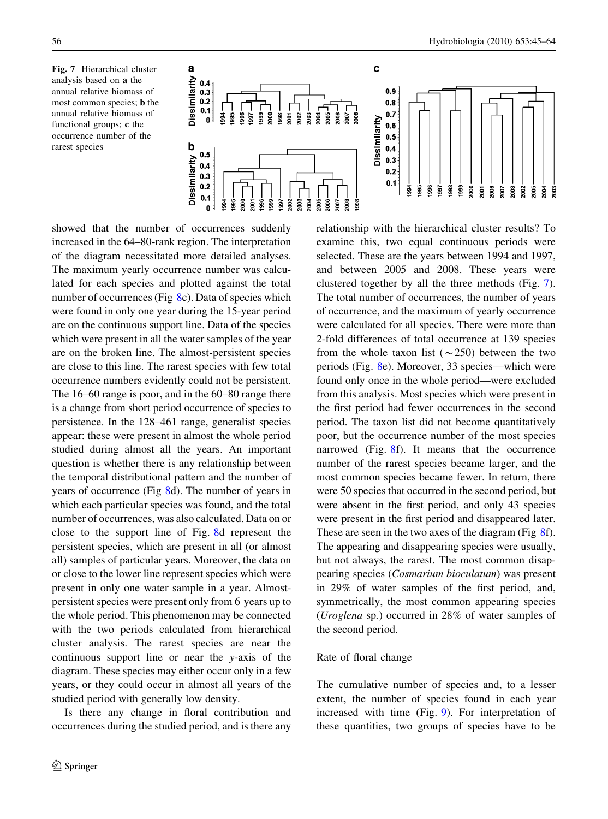<span id="page-11-0"></span>

showed that the number of occurrences suddenly increased in the 64–80-rank region. The interpretation of the diagram necessitated more detailed analyses. The maximum yearly occurrence number was calculated for each species and plotted against the total number of occurrences (Fig [8c](#page-12-0)). Data of species which were found in only one year during the 15-year period are on the continuous support line. Data of the species which were present in all the water samples of the year are on the broken line. The almost-persistent species are close to this line. The rarest species with few total occurrence numbers evidently could not be persistent. The 16–60 range is poor, and in the 60–80 range there is a change from short period occurrence of species to persistence. In the 128–461 range, generalist species appear: these were present in almost the whole period studied during almost all the years. An important question is whether there is any relationship between the temporal distributional pattern and the number of years of occurrence (Fig [8d](#page-12-0)). The number of years in which each particular species was found, and the total number of occurrences, was also calculated. Data on or close to the support line of Fig. [8](#page-12-0)d represent the persistent species, which are present in all (or almost all) samples of particular years. Moreover, the data on or close to the lower line represent species which were present in only one water sample in a year. Almostpersistent species were present only from 6 years up to the whole period. This phenomenon may be connected with the two periods calculated from hierarchical cluster analysis. The rarest species are near the continuous support line or near the y-axis of the diagram. These species may either occur only in a few years, or they could occur in almost all years of the studied period with generally low density.

Is there any change in floral contribution and occurrences during the studied period, and is there any relationship with the hierarchical cluster results? To examine this, two equal continuous periods were selected. These are the years between 1994 and 1997, and between 2005 and 2008. These years were clustered together by all the three methods (Fig. 7). The total number of occurrences, the number of years of occurrence, and the maximum of yearly occurrence were calculated for all species. There were more than 2-fold differences of total occurrence at 139 species from the whole taxon list ( $\sim$ 250) between the two periods (Fig. [8](#page-12-0)e). Moreover, 33 species—which were found only once in the whole period—were excluded from this analysis. Most species which were present in the first period had fewer occurrences in the second period. The taxon list did not become quantitatively poor, but the occurrence number of the most species narrowed (Fig. [8](#page-12-0)f). It means that the occurrence number of the rarest species became larger, and the most common species became fewer. In return, there were 50 species that occurred in the second period, but were absent in the first period, and only 43 species were present in the first period and disappeared later. These are seen in the two axes of the diagram (Fig [8](#page-12-0)f). The appearing and disappearing species were usually, but not always, the rarest. The most common disappearing species (Cosmarium bioculatum) was present in 29% of water samples of the first period, and, symmetrically, the most common appearing species (Uroglena sp.) occurred in 28% of water samples of the second period.

#### Rate of floral change

The cumulative number of species and, to a lesser extent, the number of species found in each year increased with time (Fig. [9](#page-13-0)). For interpretation of these quantities, two groups of species have to be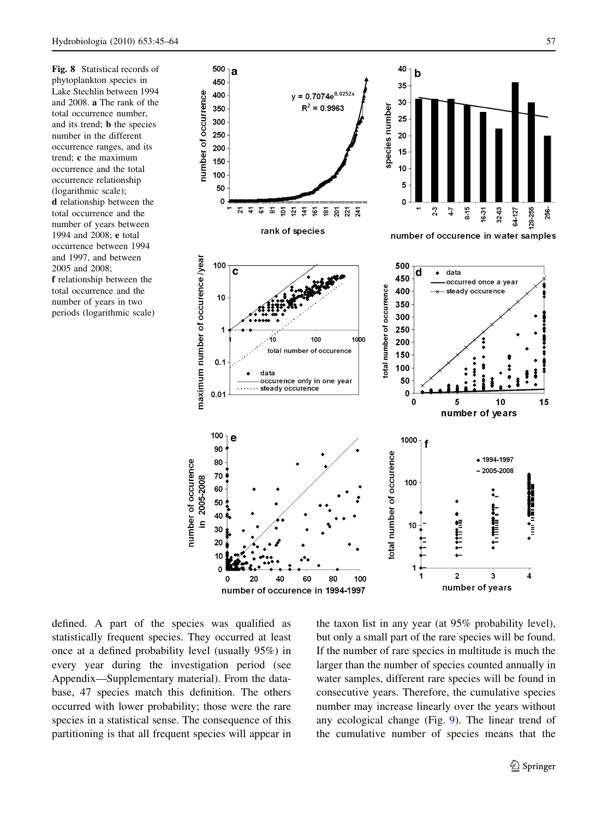<span id="page-12-0"></span>Fig. 8 Statistical records of phytoplankton species in Lake Stechlin between 1994 and 2008. a The rank of the total occurrence number, and its trend; b the species number in the different occurrence ranges, and its trend; c the maximum occurrence and the total occurrence relationship (logarithmic scale); d relationship between the total occurrence and the number of years between 1994 and 2008; e total occurrence between 1994 and 1997, and between 2005 and 2008; f relationship between the total occurrence and the number of years in two periods (logarithmic scale)



number of occurence in 1994-1997

defined. A part of the species was qualified as statistically frequent species. They occurred at least once at a defined probability level (usually 95%) in every year during the investigation period (see Appendix—Supplementary material). From the database, 47 species match this definition. The others occurred with lower probability; those were the rare species in a statistical sense. The consequence of this partitioning is that all frequent species will appear in the taxon list in any year (at 95% probability level), but only a small part of the rare species will be found. If the number of rare species in multitude is much the larger than the number of species counted annually in water samples, different rare species will be found in consecutive years. Therefore, the cumulative species number may increase linearly over the years without any ecological change (Fig. [9\)](#page-13-0). The linear trend of the cumulative number of species means that the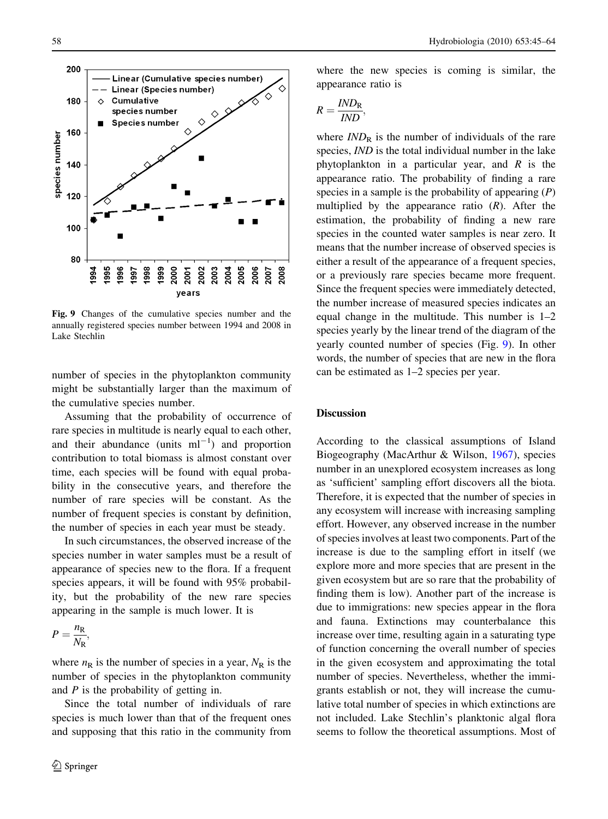<span id="page-13-0"></span>

Fig. 9 Changes of the cumulative species number and the annually registered species number between 1994 and 2008 in Lake Stechlin

number of species in the phytoplankton community might be substantially larger than the maximum of the cumulative species number.

Assuming that the probability of occurrence of rare species in multitude is nearly equal to each other, and their abundance (units  $ml^{-1}$ ) and proportion contribution to total biomass is almost constant over time, each species will be found with equal probability in the consecutive years, and therefore the number of rare species will be constant. As the number of frequent species is constant by definition, the number of species in each year must be steady.

In such circumstances, the observed increase of the species number in water samples must be a result of appearance of species new to the flora. If a frequent species appears, it will be found with 95% probability, but the probability of the new rare species appearing in the sample is much lower. It is

$$
P = \frac{n_{\rm R}}{N_{\rm R}},
$$

where  $n<sub>R</sub>$  is the number of species in a year,  $N<sub>R</sub>$  is the number of species in the phytoplankton community and  $P$  is the probability of getting in.

Since the total number of individuals of rare species is much lower than that of the frequent ones and supposing that this ratio in the community from where the new species is coming is similar, the appearance ratio is

$$
R = \frac{IND_{\rm R}}{IND},
$$

where  $IND_R$  is the number of individuals of the rare species, IND is the total individual number in the lake phytoplankton in a particular year, and  $R$  is the appearance ratio. The probability of finding a rare species in a sample is the probability of appearing  $(P)$ multiplied by the appearance ratio  $(R)$ . After the estimation, the probability of finding a new rare species in the counted water samples is near zero. It means that the number increase of observed species is either a result of the appearance of a frequent species, or a previously rare species became more frequent. Since the frequent species were immediately detected, the number increase of measured species indicates an equal change in the multitude. This number is 1–2 species yearly by the linear trend of the diagram of the yearly counted number of species (Fig. 9). In other words, the number of species that are new in the flora can be estimated as 1–2 species per year.

# **Discussion**

According to the classical assumptions of Island Biogeography (MacArthur & Wilson, [1967](#page-18-0)), species number in an unexplored ecosystem increases as long as 'sufficient' sampling effort discovers all the biota. Therefore, it is expected that the number of species in any ecosystem will increase with increasing sampling effort. However, any observed increase in the number of species involves at least two components. Part of the increase is due to the sampling effort in itself (we explore more and more species that are present in the given ecosystem but are so rare that the probability of finding them is low). Another part of the increase is due to immigrations: new species appear in the flora and fauna. Extinctions may counterbalance this increase over time, resulting again in a saturating type of function concerning the overall number of species in the given ecosystem and approximating the total number of species. Nevertheless, whether the immigrants establish or not, they will increase the cumulative total number of species in which extinctions are not included. Lake Stechlin's planktonic algal flora seems to follow the theoretical assumptions. Most of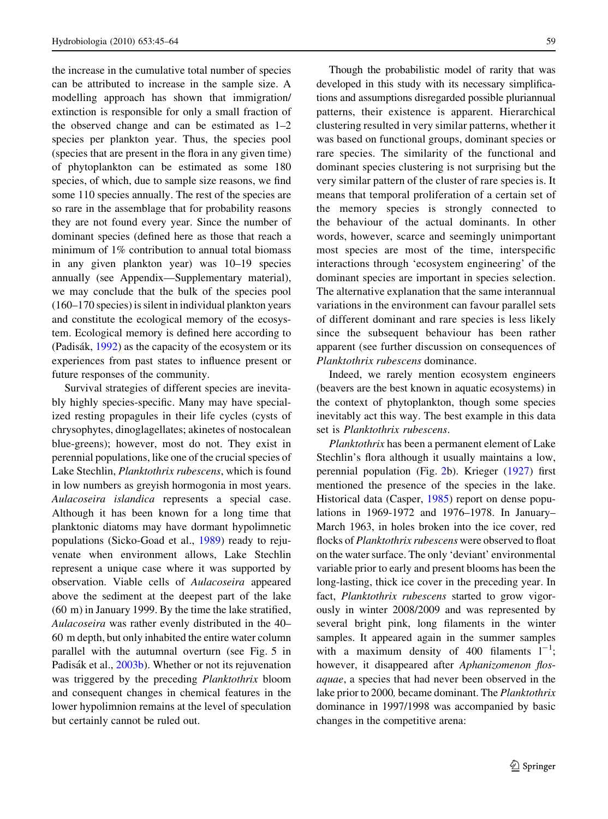the increase in the cumulative total number of species can be attributed to increase in the sample size. A modelling approach has shown that immigration/ extinction is responsible for only a small fraction of the observed change and can be estimated as 1–2 species per plankton year. Thus, the species pool (species that are present in the flora in any given time) of phytoplankton can be estimated as some 180 species, of which, due to sample size reasons, we find some 110 species annually. The rest of the species are so rare in the assemblage that for probability reasons they are not found every year. Since the number of dominant species (defined here as those that reach a minimum of 1% contribution to annual total biomass in any given plankton year) was 10–19 species annually (see Appendix—Supplementary material), we may conclude that the bulk of the species pool (160–170 species) is silent in individual plankton years and constitute the ecological memory of the ecosystem. Ecological memory is defined here according to  $(Padisák, 1992)$  $(Padisák, 1992)$  $(Padisák, 1992)$  as the capacity of the ecosystem or its experiences from past states to influence present or future responses of the community.

Survival strategies of different species are inevitably highly species-specific. Many may have specialized resting propagules in their life cycles (cysts of chrysophytes, dinoglagellates; akinetes of nostocalean blue-greens); however, most do not. They exist in perennial populations, like one of the crucial species of Lake Stechlin, Planktothrix rubescens, which is found in low numbers as greyish hormogonia in most years. Aulacoseira islandica represents a special case. Although it has been known for a long time that planktonic diatoms may have dormant hypolimnetic populations (Sicko-Goad et al., [1989\)](#page-19-0) ready to rejuvenate when environment allows, Lake Stechlin represent a unique case where it was supported by observation. Viable cells of Aulacoseira appeared above the sediment at the deepest part of the lake (60 m) in January 1999. By the time the lake stratified, Aulacoseira was rather evenly distributed in the 40– 60 m depth, but only inhabited the entire water column parallel with the autumnal overturn (see Fig. 5 in Padisák et al., [2003b](#page-18-0)). Whether or not its rejuvenation was triggered by the preceding Planktothrix bloom and consequent changes in chemical features in the lower hypolimnion remains at the level of speculation but certainly cannot be ruled out.

Though the probabilistic model of rarity that was developed in this study with its necessary simplifications and assumptions disregarded possible pluriannual patterns, their existence is apparent. Hierarchical clustering resulted in very similar patterns, whether it was based on functional groups, dominant species or rare species. The similarity of the functional and dominant species clustering is not surprising but the very similar pattern of the cluster of rare species is. It means that temporal proliferation of a certain set of the memory species is strongly connected to the behaviour of the actual dominants. In other words, however, scarce and seemingly unimportant most species are most of the time, interspecific interactions through 'ecosystem engineering' of the dominant species are important in species selection. The alternative explanation that the same interannual variations in the environment can favour parallel sets of different dominant and rare species is less likely since the subsequent behaviour has been rather apparent (see further discussion on consequences of Planktothrix rubescens dominance.

Indeed, we rarely mention ecosystem engineers (beavers are the best known in aquatic ecosystems) in the context of phytoplankton, though some species inevitably act this way. The best example in this data set is Planktothrix rubescens.

Planktothrix has been a permanent element of Lake Stechlin's flora although it usually maintains a low, perennial population (Fig. [2](#page-6-0)b). Krieger ([1927\)](#page-18-0) first mentioned the presence of the species in the lake. Historical data (Casper, [1985](#page-17-0)) report on dense populations in 1969-1972 and 1976–1978. In January– March 1963, in holes broken into the ice cover, red flocks of Planktothrix rubescens were observed to float on the water surface. The only 'deviant' environmental variable prior to early and present blooms has been the long-lasting, thick ice cover in the preceding year. In fact, Planktothrix rubescens started to grow vigorously in winter 2008/2009 and was represented by several bright pink, long filaments in the winter samples. It appeared again in the summer samples with a maximum density of 400 filaments  $1^{-1}$ ; however, it disappeared after Aphanizomenon flosaquae, a species that had never been observed in the lake prior to 2000, became dominant. The Planktothrix dominance in 1997/1998 was accompanied by basic changes in the competitive arena: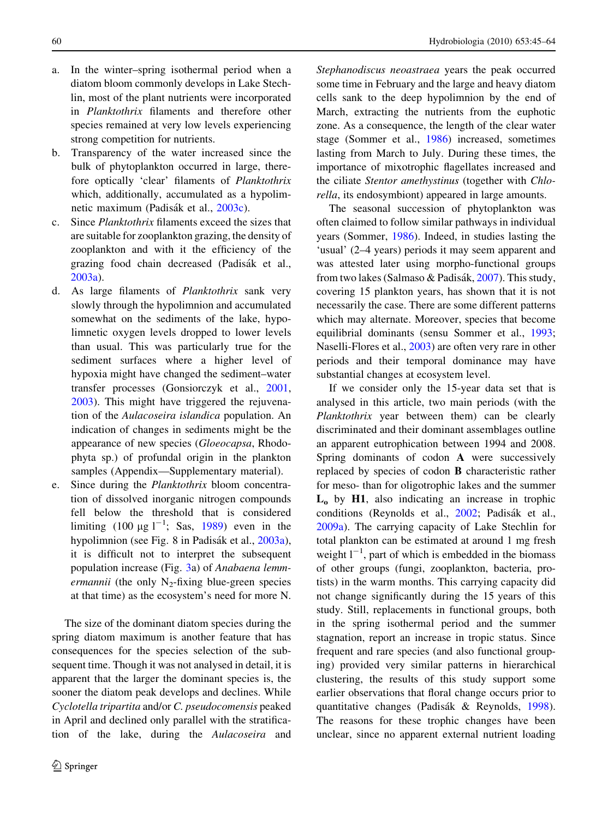- a. In the winter–spring isothermal period when a diatom bloom commonly develops in Lake Stechlin, most of the plant nutrients were incorporated in Planktothrix filaments and therefore other species remained at very low levels experiencing strong competition for nutrients.
- b. Transparency of the water increased since the bulk of phytoplankton occurred in large, therefore optically 'clear' filaments of Planktothrix which, additionally, accumulated as a hypolim-netic maximum (Padisák et al., [2003c](#page-18-0)).
- c. Since Planktothrix filaments exceed the sizes that are suitable for zooplankton grazing, the density of zooplankton and with it the efficiency of the grazing food chain decreased (Padisák et al., [2003a](#page-18-0)).
- d. As large filaments of Planktothrix sank very slowly through the hypolimnion and accumulated somewhat on the sediments of the lake, hypolimnetic oxygen levels dropped to lower levels than usual. This was particularly true for the sediment surfaces where a higher level of hypoxia might have changed the sediment–water transfer processes (Gonsiorczyk et al., [2001,](#page-18-0) [2003](#page-18-0)). This might have triggered the rejuvenation of the Aulacoseira islandica population. An indication of changes in sediments might be the appearance of new species (Gloeocapsa, Rhodophyta sp.) of profundal origin in the plankton samples (Appendix—Supplementary material).
- e. Since during the Planktothrix bloom concentration of dissolved inorganic nitrogen compounds fell below the threshold that is considered limiting  $(100 \text{ µg } 1^{-1})$ ; Sas, [1989](#page-19-0)) even in the hypolimnion (see Fig. 8 in Padisák et al., [2003a](#page-18-0)), it is difficult not to interpret the subsequent population increase (Fig. [3](#page-7-0)a) of Anabaena lemmermannii (the only  $N_2$ -fixing blue-green species at that time) as the ecosystem's need for more N.

The size of the dominant diatom species during the spring diatom maximum is another feature that has consequences for the species selection of the subsequent time. Though it was not analysed in detail, it is apparent that the larger the dominant species is, the sooner the diatom peak develops and declines. While Cyclotella tripartita and/or C. pseudocomensis peaked in April and declined only parallel with the stratification of the lake, during the Aulacoseira and Stephanodiscus neoastraea years the peak occurred some time in February and the large and heavy diatom cells sank to the deep hypolimnion by the end of March, extracting the nutrients from the euphotic zone. As a consequence, the length of the clear water stage (Sommer et al., [1986](#page-19-0)) increased, sometimes lasting from March to July. During these times, the importance of mixotrophic flagellates increased and the ciliate Stentor amethystinus (together with Chlorella, its endosymbiont) appeared in large amounts.

The seasonal succession of phytoplankton was often claimed to follow similar pathways in individual years (Sommer, [1986\)](#page-19-0). Indeed, in studies lasting the 'usual' (2–4 years) periods it may seem apparent and was attested later using morpho-functional groups from two lakes (Salmaso & Padisák, [2007](#page-19-0)). This study, covering 15 plankton years, has shown that it is not necessarily the case. There are some different patterns which may alternate. Moreover, species that become equilibrial dominants (sensu Sommer et al., [1993](#page-19-0); Naselli-Flores et al., [2003](#page-18-0)) are often very rare in other periods and their temporal dominance may have substantial changes at ecosystem level.

If we consider only the 15-year data set that is analysed in this article, two main periods (with the Planktothrix year between them) can be clearly discriminated and their dominant assemblages outline an apparent eutrophication between 1994 and 2008. Spring dominants of codon A were successively replaced by species of codon B characteristic rather for meso- than for oligotrophic lakes and the summer  $L_0$  by H1, also indicating an increase in trophic conditions (Reynolds et al., [2002;](#page-19-0) Padisák et al., [2009a](#page-18-0)). The carrying capacity of Lake Stechlin for total plankton can be estimated at around 1 mg fresh weight  $1^{-1}$ , part of which is embedded in the biomass of other groups (fungi, zooplankton, bacteria, protists) in the warm months. This carrying capacity did not change significantly during the 15 years of this study. Still, replacements in functional groups, both in the spring isothermal period and the summer stagnation, report an increase in tropic status. Since frequent and rare species (and also functional grouping) provided very similar patterns in hierarchical clustering, the results of this study support some earlier observations that floral change occurs prior to quantitative changes (Padisák & Reynolds, [1998](#page-18-0)). The reasons for these trophic changes have been unclear, since no apparent external nutrient loading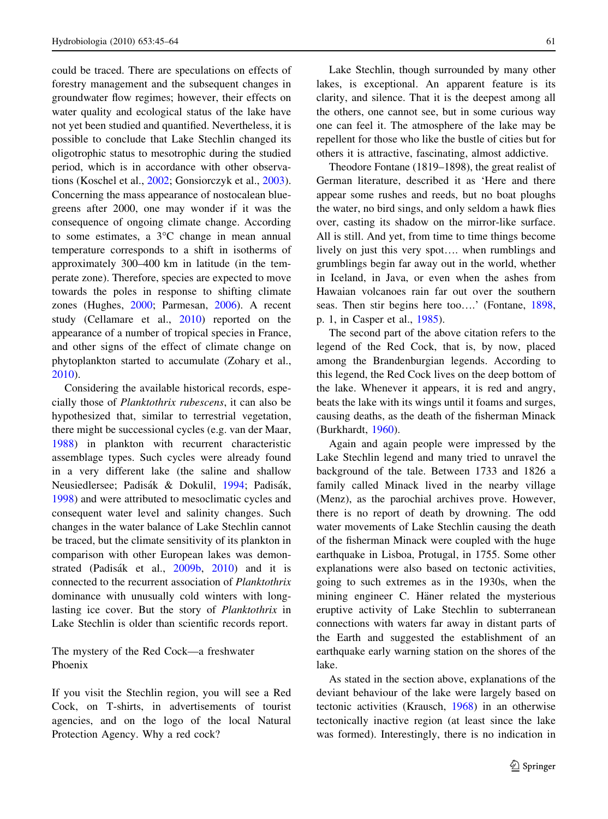could be traced. There are speculations on effects of forestry management and the subsequent changes in groundwater flow regimes; however, their effects on water quality and ecological status of the lake have not yet been studied and quantified. Nevertheless, it is possible to conclude that Lake Stechlin changed its oligotrophic status to mesotrophic during the studied period, which is in accordance with other observations (Koschel et al., [2002](#page-18-0); Gonsiorczyk et al., [2003](#page-18-0)). Concerning the mass appearance of nostocalean bluegreens after 2000, one may wonder if it was the consequence of ongoing climate change. According to some estimates, a  $3^{\circ}$ C change in mean annual temperature corresponds to a shift in isotherms of approximately 300–400 km in latitude (in the temperate zone). Therefore, species are expected to move towards the poles in response to shifting climate zones (Hughes, [2000](#page-18-0); Parmesan, [2006](#page-18-0)). A recent study (Cellamare et al., [2010](#page-17-0)) reported on the appearance of a number of tropical species in France, and other signs of the effect of climate change on phytoplankton started to accumulate (Zohary et al., [2010\)](#page-19-0).

Considering the available historical records, especially those of Planktothrix rubescens, it can also be hypothesized that, similar to terrestrial vegetation, there might be successional cycles (e.g. van der Maar, [1988\)](#page-19-0) in plankton with recurrent characteristic assemblage types. Such cycles were already found in a very different lake (the saline and shallow Neusiedlersee; Padisák & Dokulil, [1994](#page-18-0); Padisák, [1998\)](#page-18-0) and were attributed to mesoclimatic cycles and consequent water level and salinity changes. Such changes in the water balance of Lake Stechlin cannot be traced, but the climate sensitivity of its plankton in comparison with other European lakes was demon-strated (Padisák et al., [2009b](#page-18-0), [2010\)](#page-18-0) and it is connected to the recurrent association of Planktothrix dominance with unusually cold winters with longlasting ice cover. But the story of Planktothrix in Lake Stechlin is older than scientific records report.

# The mystery of the Red Cock—a freshwater Phoenix

If you visit the Stechlin region, you will see a Red Cock, on T-shirts, in advertisements of tourist agencies, and on the logo of the local Natural Protection Agency. Why a red cock?

Lake Stechlin, though surrounded by many other lakes, is exceptional. An apparent feature is its clarity, and silence. That it is the deepest among all the others, one cannot see, but in some curious way one can feel it. The atmosphere of the lake may be repellent for those who like the bustle of cities but for others it is attractive, fascinating, almost addictive.

Theodore Fontane (1819–1898), the great realist of German literature, described it as 'Here and there appear some rushes and reeds, but no boat ploughs the water, no bird sings, and only seldom a hawk flies over, casting its shadow on the mirror-like surface. All is still. And yet, from time to time things become lively on just this very spot…. when rumblings and grumblings begin far away out in the world, whether in Iceland, in Java, or even when the ashes from Hawaian volcanoes rain far out over the southern seas. Then stir begins here too….' (Fontane, [1898,](#page-17-0) p. 1, in Casper et al., [1985\)](#page-17-0).

The second part of the above citation refers to the legend of the Red Cock, that is, by now, placed among the Brandenburgian legends. According to this legend, the Red Cock lives on the deep bottom of the lake. Whenever it appears, it is red and angry, beats the lake with its wings until it foams and surges, causing deaths, as the death of the fisherman Minack (Burkhardt, [1960\)](#page-17-0).

Again and again people were impressed by the Lake Stechlin legend and many tried to unravel the background of the tale. Between 1733 and 1826 a family called Minack lived in the nearby village (Menz), as the parochial archives prove. However, there is no report of death by drowning. The odd water movements of Lake Stechlin causing the death of the fisherman Minack were coupled with the huge earthquake in Lisboa, Protugal, in 1755. Some other explanations were also based on tectonic activities, going to such extremes as in the 1930s, when the mining engineer C. Häner related the mysterious eruptive activity of Lake Stechlin to subterranean connections with waters far away in distant parts of the Earth and suggested the establishment of an earthquake early warning station on the shores of the lake.

As stated in the section above, explanations of the deviant behaviour of the lake were largely based on tectonic activities (Krausch, [1968](#page-18-0)) in an otherwise tectonically inactive region (at least since the lake was formed). Interestingly, there is no indication in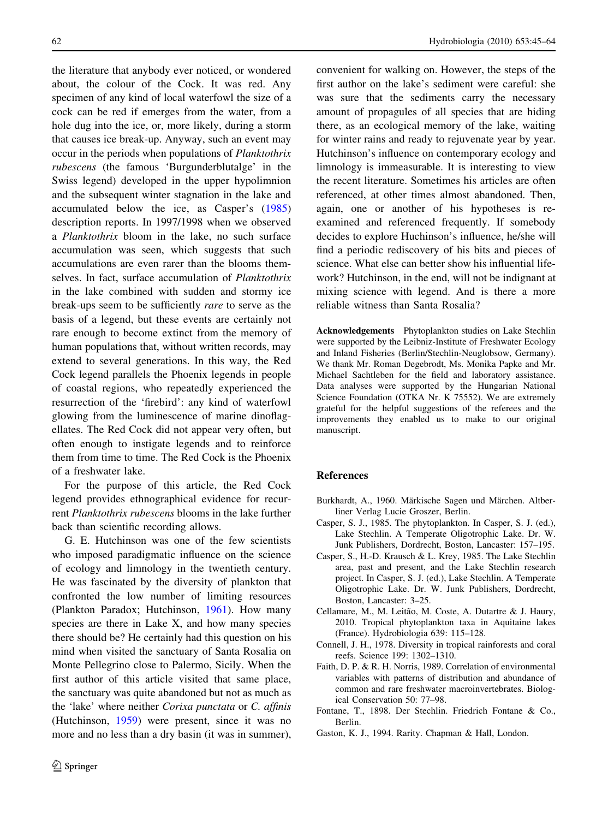<span id="page-17-0"></span>the literature that anybody ever noticed, or wondered about, the colour of the Cock. It was red. Any specimen of any kind of local waterfowl the size of a cock can be red if emerges from the water, from a hole dug into the ice, or, more likely, during a storm that causes ice break-up. Anyway, such an event may occur in the periods when populations of Planktothrix rubescens (the famous 'Burgunderblutalge' in the Swiss legend) developed in the upper hypolimnion and the subsequent winter stagnation in the lake and accumulated below the ice, as Casper's (1985) description reports. In 1997/1998 when we observed a Planktothrix bloom in the lake, no such surface accumulation was seen, which suggests that such accumulations are even rarer than the blooms themselves. In fact, surface accumulation of Planktothrix in the lake combined with sudden and stormy ice break-ups seem to be sufficiently rare to serve as the basis of a legend, but these events are certainly not rare enough to become extinct from the memory of human populations that, without written records, may extend to several generations. In this way, the Red Cock legend parallels the Phoenix legends in people of coastal regions, who repeatedly experienced the resurrection of the 'firebird': any kind of waterfowl glowing from the luminescence of marine dinoflagellates. The Red Cock did not appear very often, but often enough to instigate legends and to reinforce them from time to time. The Red Cock is the Phoenix of a freshwater lake.

For the purpose of this article, the Red Cock legend provides ethnographical evidence for recurrent Planktothrix rubescens blooms in the lake further back than scientific recording allows.

G. E. Hutchinson was one of the few scientists who imposed paradigmatic influence on the science of ecology and limnology in the twentieth century. He was fascinated by the diversity of plankton that confronted the low number of limiting resources (Plankton Paradox; Hutchinson, [1961\)](#page-18-0). How many species are there in Lake X, and how many species there should be? He certainly had this question on his mind when visited the sanctuary of Santa Rosalia on Monte Pellegrino close to Palermo, Sicily. When the first author of this article visited that same place, the sanctuary was quite abandoned but not as much as the 'lake' where neither Corixa punctata or C. affinis (Hutchinson, [1959\)](#page-18-0) were present, since it was no more and no less than a dry basin (it was in summer), convenient for walking on. However, the steps of the first author on the lake's sediment were careful: she was sure that the sediments carry the necessary amount of propagules of all species that are hiding there, as an ecological memory of the lake, waiting for winter rains and ready to rejuvenate year by year. Hutchinson's influence on contemporary ecology and limnology is immeasurable. It is interesting to view the recent literature. Sometimes his articles are often referenced, at other times almost abandoned. Then, again, one or another of his hypotheses is reexamined and referenced frequently. If somebody decides to explore Huchinson's influence, he/she will find a periodic rediscovery of his bits and pieces of science. What else can better show his influential lifework? Hutchinson, in the end, will not be indignant at mixing science with legend. And is there a more reliable witness than Santa Rosalia?

Acknowledgements Phytoplankton studies on Lake Stechlin were supported by the Leibniz-Institute of Freshwater Ecology and Inland Fisheries (Berlin/Stechlin-Neuglobsow, Germany). We thank Mr. Roman Degebrodt, Ms. Monika Papke and Mr. Michael Sachtleben for the field and laboratory assistance. Data analyses were supported by the Hungarian National Science Foundation (OTKA Nr. K 75552). We are extremely grateful for the helpful suggestions of the referees and the improvements they enabled us to make to our original manuscript.

## References

- Burkhardt, A., 1960. Märkische Sagen und Märchen. Altberliner Verlag Lucie Groszer, Berlin.
- Casper, S. J., 1985. The phytoplankton. In Casper, S. J. (ed.), Lake Stechlin. A Temperate Oligotrophic Lake. Dr. W. Junk Publishers, Dordrecht, Boston, Lancaster: 157–195.
- Casper, S., H.-D. Krausch & L. Krey, 1985. The Lake Stechlin area, past and present, and the Lake Stechlin research project. In Casper, S. J. (ed.), Lake Stechlin. A Temperate Oligotrophic Lake. Dr. W. Junk Publishers, Dordrecht, Boston, Lancaster: 3–25.
- Cellamare, M., M. Leitão, M. Coste, A. Dutartre & J. Haury, 2010. Tropical phytoplankton taxa in Aquitaine lakes (France). Hydrobiologia 639: 115–128.
- Connell, J. H., 1978. Diversity in tropical rainforests and coral reefs. Science 199: 1302–1310.
- Faith, D. P. & R. H. Norris, 1989. Correlation of environmental variables with patterns of distribution and abundance of common and rare freshwater macroinvertebrates. Biological Conservation 50: 77–98.
- Fontane, T., 1898. Der Stechlin. Friedrich Fontane & Co., Berlin.
- Gaston, K. J., 1994. Rarity. Chapman & Hall, London.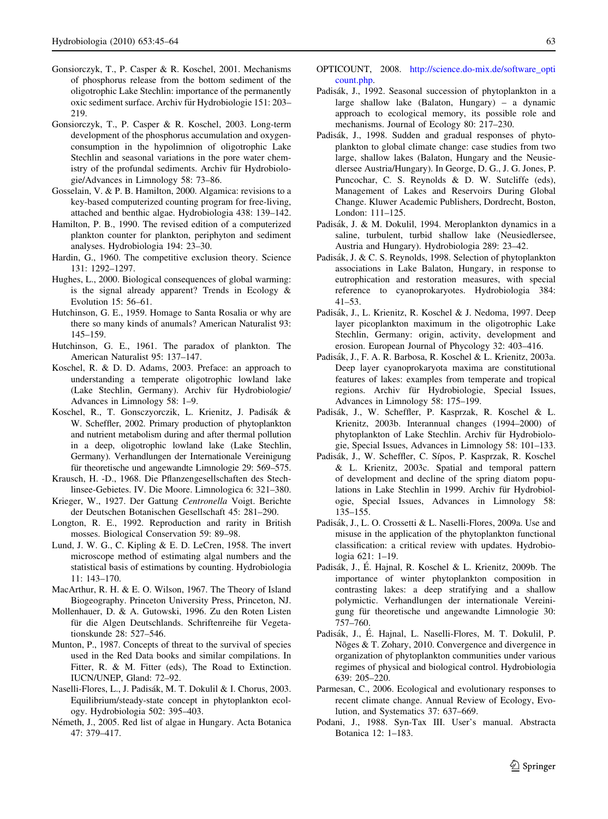- <span id="page-18-0"></span>Gonsiorczyk, T., P. Casper & R. Koschel, 2001. Mechanisms of phosphorus release from the bottom sediment of the oligotrophic Lake Stechlin: importance of the permanently oxic sediment surface. Archiv für Hydrobiologie 151: 203– 219.
- Gonsiorczyk, T., P. Casper & R. Koschel, 2003. Long-term development of the phosphorus accumulation and oxygenconsumption in the hypolimnion of oligotrophic Lake Stechlin and seasonal variations in the pore water chemistry of the profundal sediments. Archiv für Hydrobiologie/Advances in Limnology 58: 73–86.
- Gosselain, V. & P. B. Hamilton, 2000. Algamica: revisions to a key-based computerized counting program for free-living, attached and benthic algae. Hydrobiologia 438: 139–142.
- Hamilton, P. B., 1990. The revised edition of a computerized plankton counter for plankton, periphyton and sediment analyses. Hydrobiologia 194: 23–30.
- Hardin, G., 1960. The competitive exclusion theory. Science 131: 1292–1297.
- Hughes, L., 2000. Biological consequences of global warming: is the signal already apparent? Trends in Ecology & Evolution 15: 56–61.
- Hutchinson, G. E., 1959. Homage to Santa Rosalia or why are there so many kinds of anumals? American Naturalist 93: 145–159.
- Hutchinson, G. E., 1961. The paradox of plankton. The American Naturalist 95: 137–147.
- Koschel, R. & D. D. Adams, 2003. Preface: an approach to understanding a temperate oligotrophic lowland lake (Lake Stechlin, Germany). Archiv für Hydrobiologie/ Advances in Limnology 58: 1–9.
- Koschel, R., T. Gonsczyorczik, L. Krienitz, J. Padisák & W. Scheffler, 2002. Primary production of phytoplankton and nutrient metabolism during and after thermal pollution in a deep, oligotrophic lowland lake (Lake Stechlin, Germany). Verhandlungen der Internationale Vereinigung für theoretische und angewandte Limnologie 29: 569–575.
- Krausch, H. -D., 1968. Die Pflanzengesellschaften des Stechlinsee-Gebietes. IV. Die Moore. Limnologica 6: 321–380.
- Krieger, W., 1927. Der Gattung Centronella Voigt. Berichte der Deutschen Botanischen Gesellschaft 45: 281–290.
- Longton, R. E., 1992. Reproduction and rarity in British mosses. Biological Conservation 59: 89–98.
- Lund, J. W. G., C. Kipling & E. D. LeCren, 1958. The invert microscope method of estimating algal numbers and the statistical basis of estimations by counting. Hydrobiologia 11: 143–170.
- MacArthur, R. H. & E. O. Wilson, 1967. The Theory of Island Biogeography. Princeton University Press, Princeton, NJ.
- Mollenhauer, D. & A. Gutowski, 1996. Zu den Roten Listen für die Algen Deutschlands. Schriftenreihe für Vegetationskunde 28: 527–546.
- Munton, P., 1987. Concepts of threat to the survival of species used in the Red Data books and similar compilations. In Fitter, R. & M. Fitter (eds), The Road to Extinction. IUCN/UNEP, Gland: 72–92.
- Naselli-Flores, L., J. Padisa´k, M. T. Dokulil & I. Chorus, 2003. Equilibrium/steady-state concept in phytoplankton ecology. Hydrobiologia 502: 395–403.
- Németh, J., 2005. Red list of algae in Hungary. Acta Botanica 47: 379–417.
- Padisák, J., 1992. Seasonal succession of phytoplankton in a large shallow lake (Balaton, Hungary) – a dynamic approach to ecological memory, its possible role and mechanisms. Journal of Ecology 80: 217–230.
- Padisák, J., 1998. Sudden and gradual responses of phytoplankton to global climate change: case studies from two large, shallow lakes (Balaton, Hungary and the Neusiedlersee Austria/Hungary). In George, D. G., J. G. Jones, P. Puncochar, C. S. Reynolds & D. W. Sutcliffe (eds), Management of Lakes and Reservoirs During Global Change. Kluwer Academic Publishers, Dordrecht, Boston, London: 111–125.
- Padisák, J. & M. Dokulil, 1994. Meroplankton dynamics in a saline, turbulent, turbid shallow lake (Neusiedlersee, Austria and Hungary). Hydrobiologia 289: 23–42.
- Padisák, J. & C. S. Reynolds, 1998. Selection of phytoplankton associations in Lake Balaton, Hungary, in response to eutrophication and restoration measures, with special reference to cyanoprokaryotes. Hydrobiologia 384: 41–53.
- Padisák, J., L. Krienitz, R. Koschel & J. Nedoma, 1997. Deep layer picoplankton maximum in the oligotrophic Lake Stechlin, Germany: origin, activity, development and erosion. European Journal of Phycology 32: 403–416.
- Padisa´k, J., F. A. R. Barbosa, R. Koschel & L. Krienitz, 2003a. Deep layer cyanoprokaryota maxima are constitutional features of lakes: examples from temperate and tropical regions. Archiv für Hydrobiologie, Special Issues, Advances in Limnology 58: 175–199.
- Padisa´k, J., W. Scheffler, P. Kasprzak, R. Koschel & L. Krienitz, 2003b. Interannual changes (1994–2000) of phytoplankton of Lake Stechlin. Archiv für Hydrobiologie, Special Issues, Advances in Limnology 58: 101–133.
- Padisák, J., W. Scheffler, C. Sípos, P. Kasprzak, R. Koschel & L. Krienitz, 2003c. Spatial and temporal pattern of development and decline of the spring diatom populations in Lake Stechlin in 1999. Archiv für Hydrobiologie, Special Issues, Advances in Limnology 58: 135–155.
- Padisa´k, J., L. O. Crossetti & L. Naselli-Flores, 2009a. Use and misuse in the application of the phytoplankton functional classification: a critical review with updates. Hydrobiologia 621: 1–19.
- Padisák, J., É. Hajnal, R. Koschel & L. Krienitz, 2009b. The importance of winter phytoplankton composition in contrasting lakes: a deep stratifying and a shallow polymictic. Verhandlungen der internationale Vereinigung für theoretische und angewandte Limnologie 30: 757–760.
- Padisák, J., É. Hajnal, L. Naselli-Flores, M. T. Dokulil, P. Nõges & T. Zohary, 2010. Convergence and divergence in organization of phytoplankton communities under various regimes of physical and biological control. Hydrobiologia 639: 205–220.
- Parmesan, C., 2006. Ecological and evolutionary responses to recent climate change. Annual Review of Ecology, Evolution, and Systematics 37: 637–669.
- Podani, J., 1988. Syn-Tax III. User's manual. Abstracta Botanica 12: 1–183.